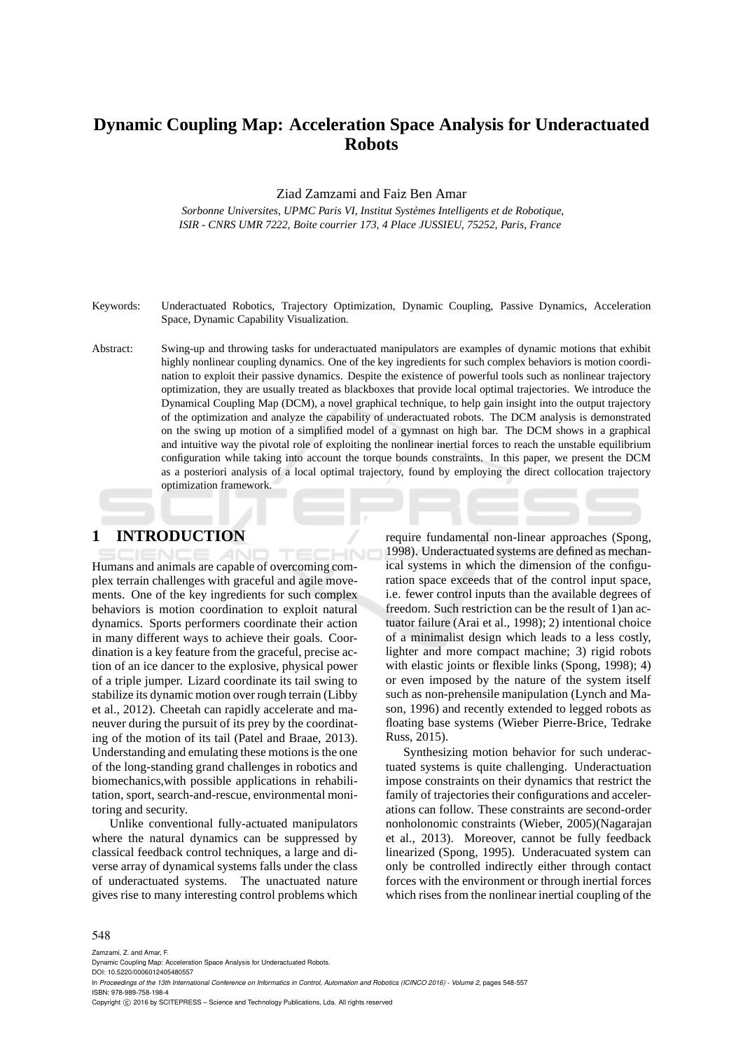# **Dynamic Coupling Map: Acceleration Space Analysis for Underactuated Robots**

Ziad Zamzami and Faiz Ben Amar

*Sorbonne Universites, UPMC Paris VI, Institut Syst`emes Intelligents et de Robotique, ISIR - CNRS UMR 7222, Boite courrier 173, 4 Place JUSSIEU, 75252, Paris, France*

Keywords: Underactuated Robotics, Trajectory Optimization, Dynamic Coupling, Passive Dynamics, Acceleration Space, Dynamic Capability Visualization.

Abstract: Swing-up and throwing tasks for underactuated manipulators are examples of dynamic motions that exhibit highly nonlinear coupling dynamics. One of the key ingredients for such complex behaviors is motion coordination to exploit their passive dynamics. Despite the existence of powerful tools such as nonlinear trajectory optimization, they are usually treated as blackboxes that provide local optimal trajectories. We introduce the Dynamical Coupling Map (DCM), a novel graphical technique, to help gain insight into the output trajectory of the optimization and analyze the capability of underactuated robots. The DCM analysis is demonstrated on the swing up motion of a simplified model of a gymnast on high bar. The DCM shows in a graphical and intuitive way the pivotal role of exploiting the nonlinear inertial forces to reach the unstable equilibrium configuration while taking into account the torque bounds constraints. In this paper, we present the DCM as a posteriori analysis of a local optimal trajectory, found by employing the direct collocation trajectory optimization framework.

## **1 INTRODUCTION**

Humans and animals are capable of overcoming complex terrain challenges with graceful and agile movements. One of the key ingredients for such complex behaviors is motion coordination to exploit natural dynamics. Sports performers coordinate their action in many different ways to achieve their goals. Coordination is a key feature from the graceful, precise action of an ice dancer to the explosive, physical power of a triple jumper. Lizard coordinate its tail swing to stabilize its dynamic motion over rough terrain (Libby et al., 2012). Cheetah can rapidly accelerate and maneuver during the pursuit of its prey by the coordinating of the motion of its tail (Patel and Braae, 2013). Understanding and emulating these motions is the one of the long-standing grand challenges in robotics and biomechanics,with possible applications in rehabilitation, sport, search-and-rescue, environmental monitoring and security.

Unlike conventional fully-actuated manipulators where the natural dynamics can be suppressed by classical feedback control techniques, a large and diverse array of dynamical systems falls under the class of underactuated systems. The unactuated nature gives rise to many interesting control problems which require fundamental non-linear approaches (Spong, 1998). Underactuated systems are defined as mechanical systems in which the dimension of the configuration space exceeds that of the control input space, i.e. fewer control inputs than the available degrees of freedom. Such restriction can be the result of 1)an actuator failure (Arai et al., 1998); 2) intentional choice of a minimalist design which leads to a less costly, lighter and more compact machine; 3) rigid robots with elastic joints or flexible links (Spong, 1998); 4) or even imposed by the nature of the system itself such as non-prehensile manipulation (Lynch and Mason, 1996) and recently extended to legged robots as floating base systems (Wieber Pierre-Brice, Tedrake Russ, 2015).

Synthesizing motion behavior for such underactuated systems is quite challenging. Underactuation impose constraints on their dynamics that restrict the family of trajectories their configurations and accelerations can follow. These constraints are second-order nonholonomic constraints (Wieber, 2005)(Nagarajan et al., 2013). Moreover, cannot be fully feedback linearized (Spong, 1995). Underacuated system can only be controlled indirectly either through contact forces with the environment or through inertial forces which rises from the nonlinear inertial coupling of the

#### 548

Zamzami, Z. and Amar, F.

Dynamic Coupling Map: Acceleration Space Analysis for Underactuated Robots.

DOI: 10.5220/0006012405480557

In *Proceedings of the 13th International Conference on Informatics in Control, Automation and Robotics (ICINCO 2016) - Volume 2*, pages 548-557 ISBN: 978-989-758-198-4

Copyright (C) 2016 by SCITEPRESS - Science and Technology Publications, Lda. All rights reserved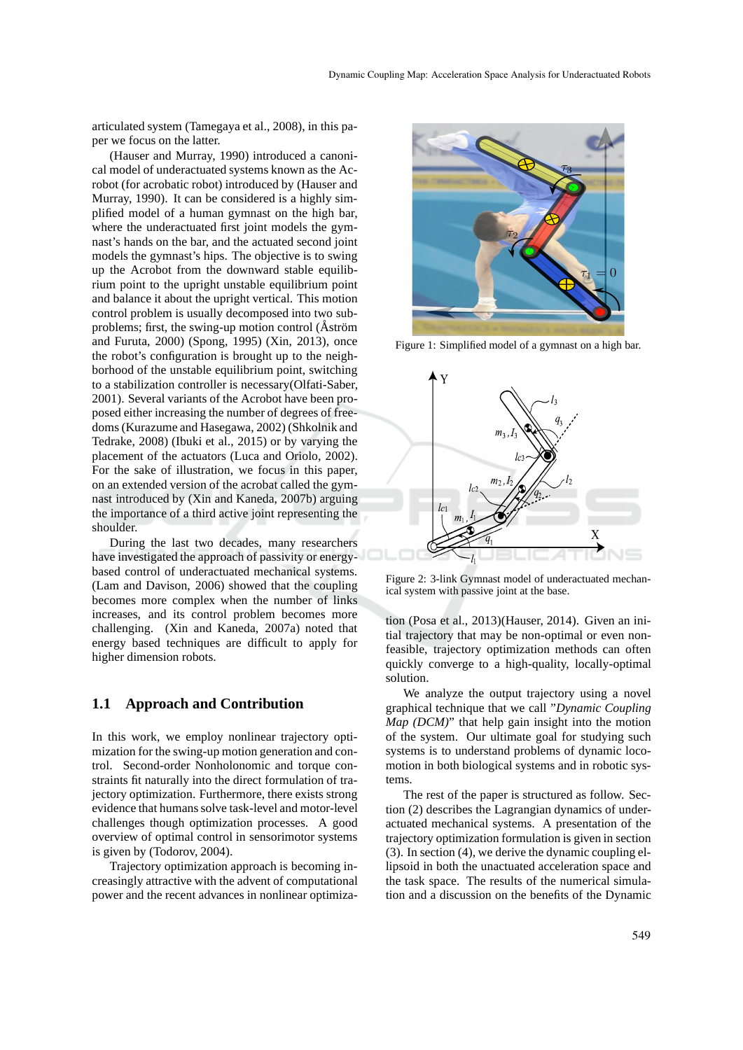articulated system (Tamegaya et al., 2008), in this paper we focus on the latter.

(Hauser and Murray, 1990) introduced a canonical model of underactuated systems known as the Acrobot (for acrobatic robot) introduced by (Hauser and Murray, 1990). It can be considered is a highly simplified model of a human gymnast on the high bar, where the underactuated first joint models the gymnast's hands on the bar, and the actuated second joint models the gymnast's hips. The objective is to swing up the Acrobot from the downward stable equilibrium point to the upright unstable equilibrium point and balance it about the upright vertical. This motion control problem is usually decomposed into two subproblems; first, the swing-up motion control ( $\AA$ ström and Furuta, 2000) (Spong, 1995) (Xin, 2013), once the robot's configuration is brought up to the neighborhood of the unstable equilibrium point, switching to a stabilization controller is necessary(Olfati-Saber, 2001). Several variants of the Acrobot have been proposed either increasing the number of degrees of freedoms (Kurazume and Hasegawa, 2002) (Shkolnik and Tedrake, 2008) (Ibuki et al., 2015) or by varying the placement of the actuators (Luca and Oriolo, 2002). For the sake of illustration, we focus in this paper, on an extended version of the acrobat called the gymnast introduced by (Xin and Kaneda, 2007b) arguing the importance of a third active joint representing the shoulder.

During the last two decades, many researchers have investigated the approach of passivity or energybased control of underactuated mechanical systems. (Lam and Davison, 2006) showed that the coupling becomes more complex when the number of links increases, and its control problem becomes more challenging. (Xin and Kaneda, 2007a) noted that energy based techniques are difficult to apply for higher dimension robots.

### **1.1 Approach and Contribution**

In this work, we employ nonlinear trajectory optimization for the swing-up motion generation and control. Second-order Nonholonomic and torque constraints fit naturally into the direct formulation of trajectory optimization. Furthermore, there exists strong evidence that humans solve task-level and motor-level challenges though optimization processes. A good overview of optimal control in sensorimotor systems is given by (Todorov, 2004).

Trajectory optimization approach is becoming increasingly attractive with the advent of computational power and the recent advances in nonlinear optimiza-



Figure 1: Simplified model of a gymnast on a high bar.



Figure 2: 3-link Gymnast model of underactuated mechanical system with passive joint at the base.

tion (Posa et al., 2013)(Hauser, 2014). Given an initial trajectory that may be non-optimal or even nonfeasible, trajectory optimization methods can often quickly converge to a high-quality, locally-optimal solution.

We analyze the output trajectory using a novel graphical technique that we call "*Dynamic Coupling Map (DCM)*" that help gain insight into the motion of the system. Our ultimate goal for studying such systems is to understand problems of dynamic locomotion in both biological systems and in robotic systems.

The rest of the paper is structured as follow. Section (2) describes the Lagrangian dynamics of underactuated mechanical systems. A presentation of the trajectory optimization formulation is given in section (3). In section (4), we derive the dynamic coupling ellipsoid in both the unactuated acceleration space and the task space. The results of the numerical simulation and a discussion on the benefits of the Dynamic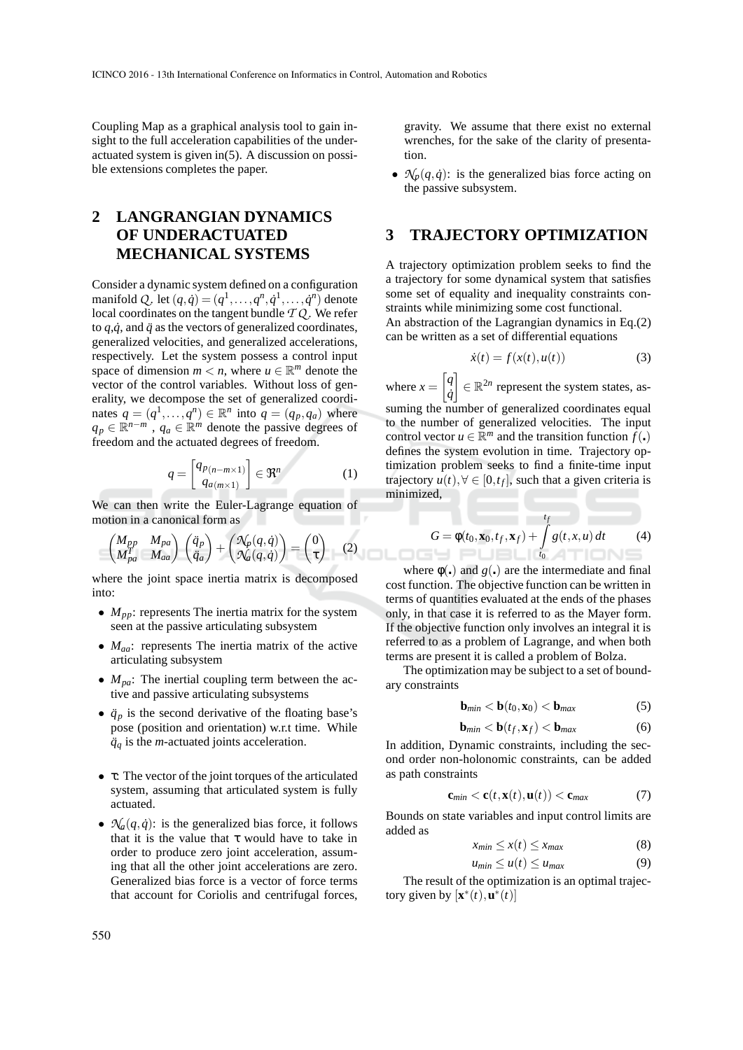Coupling Map as a graphical analysis tool to gain insight to the full acceleration capabilities of the underactuated system is given in(5). A discussion on possible extensions completes the paper.

## **2 LANGRANGIAN DYNAMICS OF UNDERACTUATED MECHANICAL SYSTEMS**

Consider a dynamic system defined on a configuration manifold *Q*. let  $(q, \dot{q}) = (q^1, \ldots, q^n, \dot{q}^1, \ldots, \dot{q}^n)$  denote local coordinates on the tangent bundle *T Q* . We refer to  $q, \dot{q}$ , and  $\ddot{q}$  as the vectors of generalized coordinates, generalized velocities, and generalized accelerations, respectively. Let the system possess a control input space of dimension  $m < n$ , where  $u \in \mathbb{R}^m$  denote the vector of the control variables. Without loss of generality, we decompose the set of generalized coordinates  $q = (q^1, \ldots, q^n) \in \mathbb{R}^n$  into  $q = (q_p, q_a)$  where  $q_p \in \mathbb{R}^{n-m}$ ,  $q_a \in \mathbb{R}^m$  denote the passive degrees of freedom and the actuated degrees of freedom.

$$
q = \begin{bmatrix} q_{p(n-m\times 1)} \\ q_{a(m\times 1)} \end{bmatrix} \in \mathfrak{R}^n \tag{1}
$$

We can then write the Euler-Lagrange equation of motion in a canonical form as

$$
\begin{pmatrix} M_{pp} & M_{pa} \ M_{pa}^T & M_{aa} \end{pmatrix} \begin{pmatrix} \ddot{q}_p \\ \ddot{q}_a \end{pmatrix} + \begin{pmatrix} \mathcal{N}_p(q, \dot{q}) \\ \mathcal{N}_q(q, \dot{q}) \end{pmatrix} = \begin{pmatrix} 0 \\ \tau \end{pmatrix} \quad (2)
$$

where the joint space inertia matrix is decomposed into:

- $M_{pp}$ : represents The inertia matrix for the system seen at the passive articulating subsystem
- *Maa*: represents The inertia matrix of the active articulating subsystem
- *M<sub>pa</sub>*: The inertial coupling term between the active and passive articulating subsystems
- $\ddot{q}_p$  is the second derivative of the floating base's pose (position and orientation) w.r.t time. While  $\ddot{q}_q$  is the *m*-actuated joints acceleration.
- τ: The vector of the joint torques of the articulated system, assuming that articulated system is fully actuated.
- $\mathcal{N}_a(q, \dot{q})$ : is the generalized bias force, it follows that it is the value that  $\tau$  would have to take in order to produce zero joint acceleration, assuming that all the other joint accelerations are zero. Generalized bias force is a vector of force terms that account for Coriolis and centrifugal forces,

gravity. We assume that there exist no external wrenches, for the sake of the clarity of presentation.

•  $\mathcal{N}_p(q, \dot{q})$ : is the generalized bias force acting on the passive subsystem.

### **3 TRAJECTORY OPTIMIZATION**

A trajectory optimization problem seeks to find the a trajectory for some dynamical system that satisfies some set of equality and inequality constraints constraints while minimizing some cost functional. An abstraction of the Lagrangian dynamics in Eq.(2) can be written as a set of differential equations

$$
\dot{x}(t) = f(x(t), u(t))\tag{3}
$$

where  $x =$  *q q*˙ T  $\in \mathbb{R}^{2n}$  represent the system states, assuming the number of generalized coordinates equal to the number of generalized velocities. The input control vector  $u \in \mathbb{R}^m$  and the transition function  $f(.)$ defines the system evolution in time. Trajectory optimization problem seeks to find a finite-time input trajectory  $u(t)$ ,  $\forall \in [0, t_f]$ , such that a given criteria is minimized,

$$
G = \phi(t_0, \mathbf{x}_0, t_f, \mathbf{x}_f) + \int_{t_0}^{t_f} g(t, x, u) dt \tag{4}
$$

where  $\phi$ (,) and  $g($ ,) are the intermediate and final cost function. The objective function can be written in terms of quantities evaluated at the ends of the phases only, in that case it is referred to as the Mayer form. If the objective function only involves an integral it is referred to as a problem of Lagrange, and when both terms are present it is called a problem of Bolza.

The optimization may be subject to a set of boundary constraints

$$
\mathbf{b}_{min} < \mathbf{b}(t_0, \mathbf{x}_0) < \mathbf{b}_{max} \tag{5}
$$

$$
\mathbf{b}_{min} < \mathbf{b}(t_f, \mathbf{x}_f) < \mathbf{b}_{max} \tag{6}
$$

In addition, Dynamic constraints, including the second order non-holonomic constraints, can be added as path constraints

$$
\mathbf{c}_{min} < \mathbf{c}(t, \mathbf{x}(t), \mathbf{u}(t)) < \mathbf{c}_{max} \tag{7}
$$

Bounds on state variables and input control limits are added as

$$
x_{min} \le x(t) \le x_{max} \tag{8}
$$

$$
u_{min} \le u(t) \le u_{max} \tag{9}
$$

The result of the optimization is an optimal trajectory given by  $[\mathbf{x}^*(t), \mathbf{u}^*(t)]$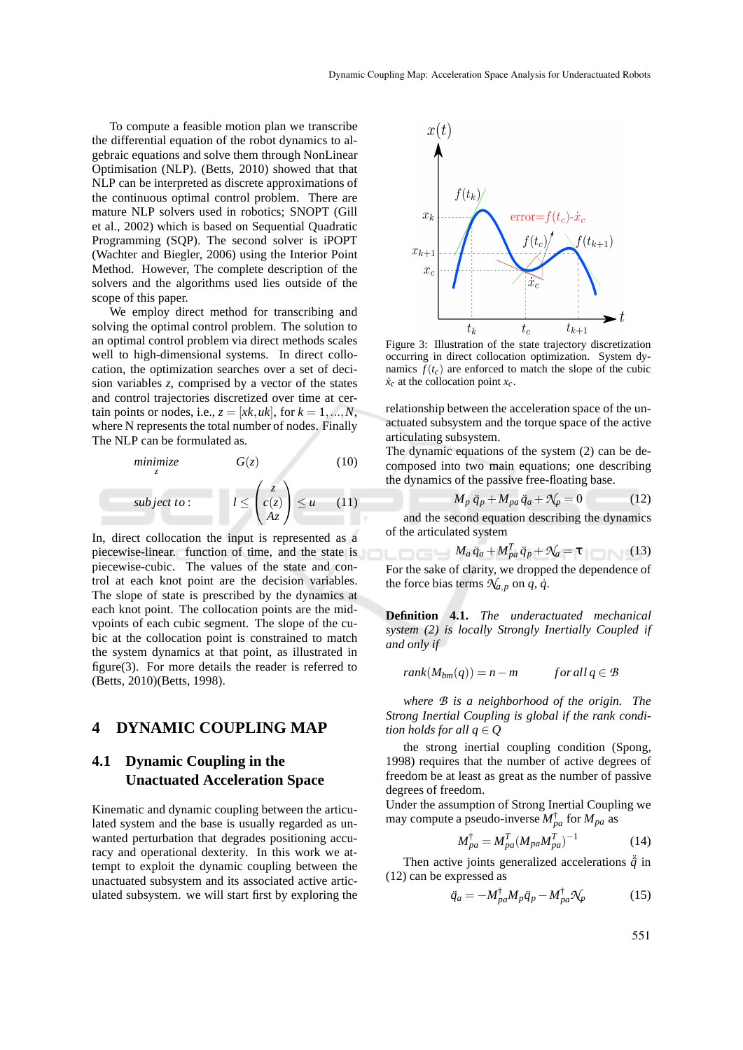To compute a feasible motion plan we transcribe the differential equation of the robot dynamics to algebraic equations and solve them through NonLinear Optimisation (NLP). (Betts, 2010) showed that that NLP can be interpreted as discrete approximations of the continuous optimal control problem. There are mature NLP solvers used in robotics; SNOPT (Gill et al., 2002) which is based on Sequential Quadratic Programming (SQP). The second solver is iPOPT (Wachter and Biegler, 2006) using the Interior Point Method. However, The complete description of the solvers and the algorithms used lies outside of the scope of this paper.

We employ direct method for transcribing and solving the optimal control problem. The solution to an optimal control problem via direct methods scales well to high-dimensional systems. In direct collocation, the optimization searches over a set of decision variables *z*, comprised by a vector of the states and control trajectories discretized over time at certain points or nodes, i.e.,  $z = [xk, uk]$ , for  $k = 1, ..., N$ , where N represents the total number of nodes. Finally The NLP can be formulated as.

minimize  
\n<sub>z</sub> 
$$
G(z)
$$
 (10)  
\nsubject to:  
\n
$$
l \leq \begin{pmatrix} z \\ c(z) \\ Az \end{pmatrix} \leq u
$$
 (11)

In, direct collocation the input is represented as a piecewise-linear. function of time, and the state is piecewise-cubic. The values of the state and control at each knot point are the decision variables. The slope of state is prescribed by the dynamics at each knot point. The collocation points are the midvpoints of each cubic segment. The slope of the cubic at the collocation point is constrained to match the system dynamics at that point, as illustrated in figure(3). For more details the reader is referred to (Betts, 2010)(Betts, 1998).

#### **4 DYNAMIC COUPLING MAP**

## **4.1 Dynamic Coupling in the Unactuated Acceleration Space**

Kinematic and dynamic coupling between the articulated system and the base is usually regarded as unwanted perturbation that degrades positioning accuracy and operational dexterity. In this work we attempt to exploit the dynamic coupling between the unactuated subsystem and its associated active articulated subsystem. we will start first by exploring the



Figure 3: Illustration of the state trajectory discretization occurring in direct collocation optimization. System dynamics  $f(t_c)$  are enforced to match the slope of the cubic  $\dot{x}_c$  at the collocation point  $x_c$ .

relationship between the acceleration space of the unactuated subsystem and the torque space of the active articulating subsystem.

The dynamic equations of the system (2) can be decomposed into two main equations; one describing the dynamics of the passive free-floating base.

$$
-M_p \ddot{q}_p + M_{pa} \ddot{q}_a + \mathcal{N}_p = 0 \tag{12}
$$

and the second equation describing the dynamics of the articulated system

$$
M_a \ddot{q}_a + M_{pa}^T \ddot{q}_p + \mathcal{N}_a = \tau \tag{13}
$$

For the sake of clarity, we dropped the dependence of the force bias terms  $\mathcal{N}_{a,p}$  on  $q, \dot{q}$ .

**Definition 4.1.** *The underactuated mechanical system (2) is locally Strongly Inertially Coupled if and only if*

$$
rank(M_{bm}(q)) = n - m \qquad \text{for all } q \in \mathcal{B}
$$

*where B is a neighborhood of the origin. The Strong Inertial Coupling is global if the rank condition holds for all*  $q \in Q$ 

the strong inertial coupling condition (Spong, 1998) requires that the number of active degrees of freedom be at least as great as the number of passive degrees of freedom.

Under the assumption of Strong Inertial Coupling we may compute a pseudo-inverse  $M_{pa}^{\dagger}$  for  $M_{pa}$  as

$$
M_{pa}^{\dagger} = M_{pa}^{T} (M_{pa} M_{pa}^{T})^{-1}
$$
 (14)

Then active joints generalized accelerations  $\ddot{q}$  in (12) can be expressed as

$$
\ddot{q}_a = -M_{pa}^\dagger M_p \ddot{q}_p - M_{pa}^\dagger \mathcal{N}_p \tag{15}
$$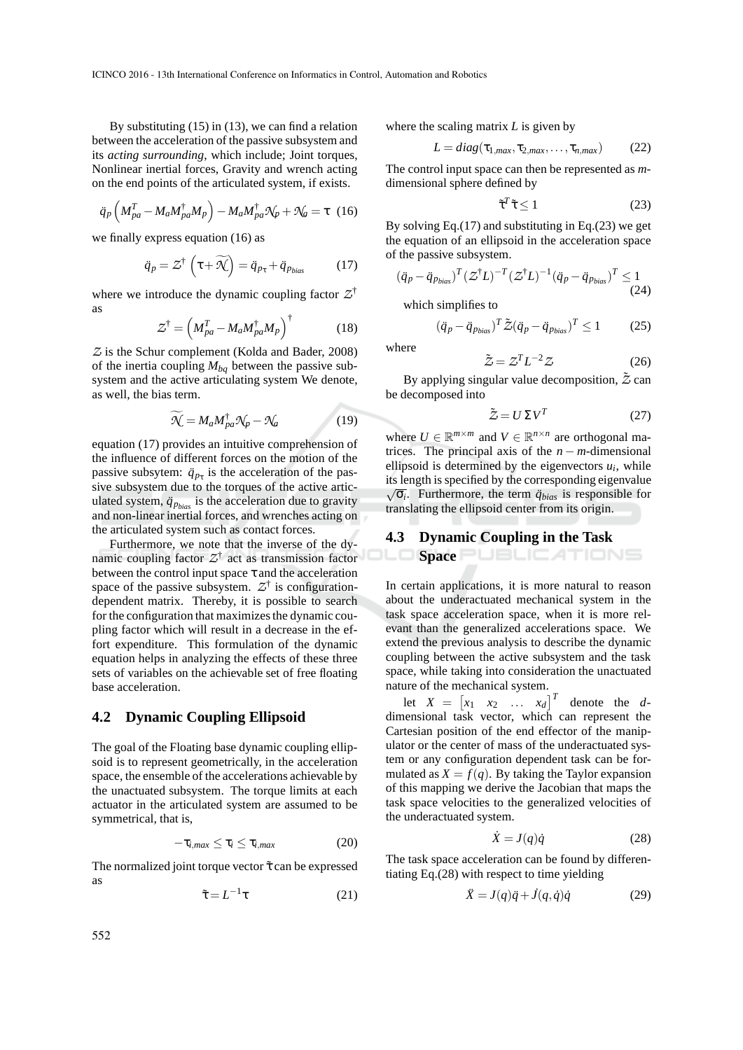By substituting (15) in (13), we can find a relation between the acceleration of the passive subsystem and its *acting surrounding*, which include; Joint torques, Nonlinear inertial forces, Gravity and wrench acting on the end points of the articulated system, if exists.

$$
\ddot{q}_p \left( M_{pa}^T - M_a M_{pa}^\dagger M_p \right) - M_a M_{pa}^\dagger \mathcal{N}_p + \mathcal{N}_a = \tau \quad (16)
$$

we finally express equation (16) as

$$
\ddot{q}_p = \mathcal{Z}^\dagger \left( \tau + \widetilde{\mathcal{H}} \right) = \ddot{q}_{p_\tau} + \ddot{q}_{p_{bias}} \tag{17}
$$

where we introduce the dynamic coupling factor  $Z^{\dagger}$ as

$$
\mathcal{Z}^{\dagger} = \left( M_{pa}^{T} - M_a M_{pa}^{\dagger} M_p \right)^{\dagger}
$$
 (18)

*Z* is the Schur complement (Kolda and Bader, 2008) of the inertia coupling  $M_{ba}$  between the passive subsystem and the active articulating system We denote, as well, the bias term.

$$
\widetilde{\mathcal{N}} = M_a M_{pa}^{\dagger} \mathcal{N}_p - \mathcal{N}_a \tag{19}
$$

equation (17) provides an intuitive comprehension of the influence of different forces on the motion of the passive subsytem:  $\ddot{q}_{p_{\tau}}$  is the acceleration of the passive subsystem due to the torques of the active articulated system,  $\ddot{q}_{p_{bias}}$  is the acceleration due to gravity and non-linear inertial forces, and wrenches acting on the articulated system such as contact forces.

Furthermore, we note that the inverse of the dynamic coupling factor *Z* † act as transmission factor between the control input space  $\tau$  and the acceleration space of the passive subsystem.  $Z^{\dagger}$  is configurationdependent matrix. Thereby, it is possible to search for the configuration that maximizes the dynamic coupling factor which will result in a decrease in the effort expenditure. This formulation of the dynamic equation helps in analyzing the effects of these three sets of variables on the achievable set of free floating base acceleration.

#### **4.2 Dynamic Coupling Ellipsoid**

The goal of the Floating base dynamic coupling ellipsoid is to represent geometrically, in the acceleration space, the ensemble of the accelerations achievable by the unactuated subsystem. The torque limits at each actuator in the articulated system are assumed to be symmetrical, that is,

$$
-\tau_{i,max} \leq \tau_i \leq \tau_{i,max} \tag{20}
$$

The normalized joint torque vector  $\tilde{\tau}$  can be expressed as

$$
\tilde{\tau} = L^{-1}\tau \tag{21}
$$

where the scaling matrix *L* is given by

$$
L = diag(\tau_{1,max}, \tau_{2,max}, \dots, \tau_{n,max})
$$
 (22)

The control input space can then be represented as *m*dimensional sphere defined by

$$
\tilde{\tau}^T \tilde{\tau} \le 1 \tag{23}
$$

By solving Eq.(17) and substituting in Eq.(23) we get the equation of an ellipsoid in the acceleration space of the passive subsystem.

$$
(\ddot{q}_p - \ddot{q}_{p_{bias}})^T (\mathcal{Z}^\dagger L)^{-T} (\mathcal{Z}^\dagger L)^{-1} (\ddot{q}_p - \ddot{q}_{p_{bias}})^T \le 1
$$
\n(24)

which simplifies to

where

$$
(\ddot{q}_p - \ddot{q}_{p_{bias}})^T \tilde{\mathcal{Z}} (\ddot{q}_p - \ddot{q}_{p_{bias}})^T \le 1 \tag{25}
$$

$$
\tilde{\mathcal{Z}} = \mathcal{Z}^T L^{-2} \mathcal{Z}
$$
 (26)

By applying singular value decomposition,  $\tilde{Z}$  can be decomposed into

$$
\tilde{Z} = U \Sigma V^T \tag{27}
$$

where  $U \in \mathbb{R}^{m \times m}$  and  $V \in \mathbb{R}^{n \times n}$  are orthogonal matrices. The principal axis of the  $n - m$ -dimensional ellipsoid is determined by the eigenvectors  $u_i$ , while its length is specified by the corresponding eigenvalue  $\sqrt{\sigma_i}$ . Furthermore, the term  $\ddot{q}_{bias}$  is responsible for translating the ellipsoid center from its origin.

## **4.3 Dynamic Coupling in the Task**

**Space** JBLICATIONS

In certain applications, it is more natural to reason about the underactuated mechanical system in the task space acceleration space, when it is more relevant than the generalized accelerations space. We extend the previous analysis to describe the dynamic coupling between the active subsystem and the task space, while taking into consideration the unactuated nature of the mechanical system.

let  $X = \begin{bmatrix} x_1 & x_2 & \dots & x_d \end{bmatrix}^T$  denote the *d*dimensional task vector, which can represent the Cartesian position of the end effector of the manipulator or the center of mass of the underactuated system or any configuration dependent task can be formulated as  $X = f(q)$ . By taking the Taylor expansion of this mapping we derive the Jacobian that maps the task space velocities to the generalized velocities of the underactuated system.

$$
\dot{X} = J(q)\dot{q} \tag{28}
$$

The task space acceleration can be found by differentiating Eq.(28) with respect to time yielding

$$
\ddot{X} = J(q)\ddot{q} + \dot{J}(q,\dot{q})\dot{q} \tag{29}
$$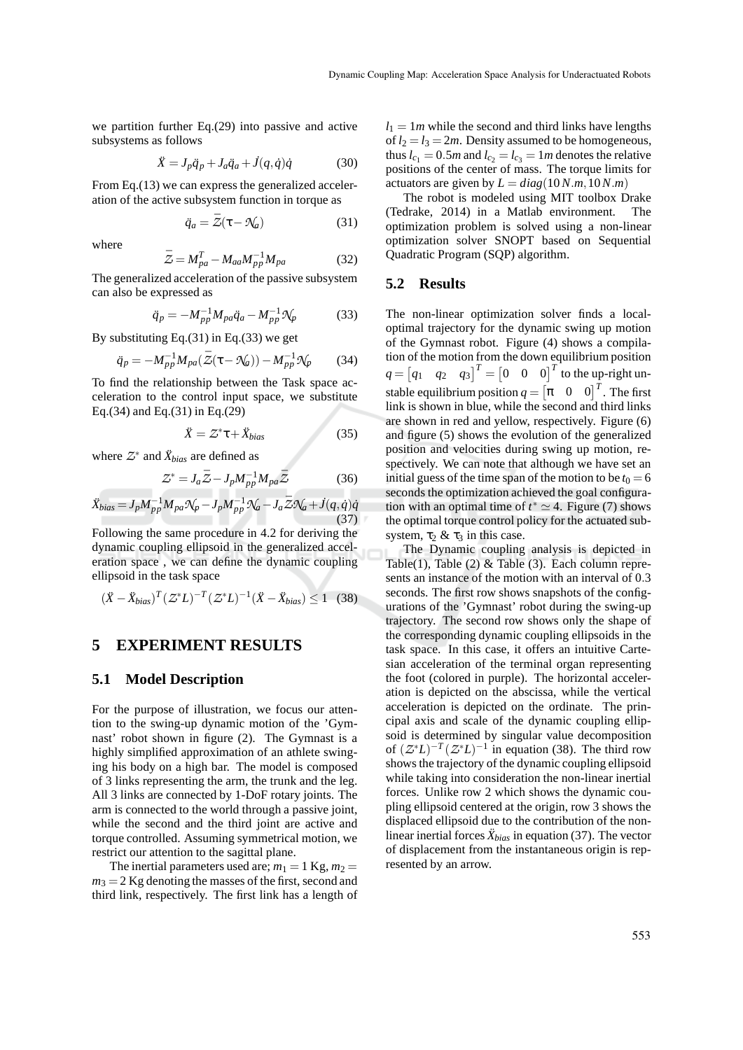we partition further Eq.(29) into passive and active subsystems as follows

$$
\ddot{X} = J_p \ddot{q}_p + J_a \ddot{q}_a + \dot{J}(q, \dot{q})\dot{q} \tag{30}
$$

From Eq.(13) we can express the generalized acceleration of the active subsystem function in torque as

$$
\ddot{q}_a = \bar{Z}(\tau - \mathcal{N}_a) \tag{31}
$$

where

$$
\bar{Z} = M_{pa}^T - M_{aa} M_{pp}^{-1} M_{pa} \tag{32}
$$

The generalized acceleration of the passive subsystem can also be expressed as

$$
\ddot{q}_p = -M_{pp}^{-1} M_{pa} \ddot{q}_a - M_{pp}^{-1} \mathcal{N}_p \tag{33}
$$

By substituting Eq.(31) in Eq.(33) we get

$$
\ddot{q}_p = -M_{pp}^{-1} M_{pa} (\bar{Z}(\tau - \mathcal{N}_a)) - M_{pp}^{-1} \mathcal{N}_p \tag{34}
$$

To find the relationship between the Task space acceleration to the control input space, we substitute Eq.(34) and Eq.(31) in Eq.(29)

$$
\ddot{X} = Z^* \tau + \ddot{X}_{bias} \tag{35}
$$

where  $Z^*$  and  $\ddot{X}_{bias}$  are defined as

$$
\mathcal{Z}^* = J_a \bar{\mathcal{Z}} - J_p M_{pp}^{-1} M_{pa} \bar{\mathcal{Z}} \tag{36}
$$

$$
\ddot{X}_{bias} = J_p M_{pp}^{-1} M_{pa} \mathcal{N}_p - J_p M_{pp}^{-1} \mathcal{N}_a - J_a \bar{Z} \mathcal{N}_a + J(q, \dot{q}) \dot{q}
$$
\n(37)

Following the same procedure in 4.2 for deriving the dynamic coupling ellipsoid in the generalized acceleration space , we can define the dynamic coupling ellipsoid in the task space

$$
(\ddot{X} - \ddot{X}_{bias})^T (Z^* L)^{-T} (Z^* L)^{-1} (\ddot{X} - \ddot{X}_{bias}) \le 1 \quad (38)
$$

### **5 EXPERIMENT RESULTS**

#### **5.1 Model Description**

For the purpose of illustration, we focus our attention to the swing-up dynamic motion of the 'Gymnast' robot shown in figure (2). The Gymnast is a highly simplified approximation of an athlete swinging his body on a high bar. The model is composed of 3 links representing the arm, the trunk and the leg. All 3 links are connected by 1-DoF rotary joints. The arm is connected to the world through a passive joint, while the second and the third joint are active and torque controlled. Assuming symmetrical motion, we restrict our attention to the sagittal plane.

The inertial parameters used are;  $m_1 = 1$  Kg,  $m_2 =$  $m_3 = 2$  Kg denoting the masses of the first, second and third link, respectively. The first link has a length of  $l_1 = 1m$  while the second and third links have lengths of  $l_2 = l_3 = 2m$ . Density assumed to be homogeneous, thus  $l_{c_1} = 0.5m$  and  $l_{c_2} = l_{c_3} = 1m$  denotes the relative positions of the center of mass. The torque limits for actuators are given by  $L = diag(10N.m, 10N.m)$ 

The robot is modeled using MIT toolbox Drake (Tedrake, 2014) in a Matlab environment. The optimization problem is solved using a non-linear optimization solver SNOPT based on Sequential Quadratic Program (SQP) algorithm.

#### **5.2 Results**

The non-linear optimization solver finds a localoptimal trajectory for the dynamic swing up motion of the Gymnast robot. Figure (4) shows a compilation of the motion from the down equilibrium position  $q = \begin{bmatrix} q_1 & q_2 & q_3 \end{bmatrix}^T = \begin{bmatrix} 0 & 0 & 0 \end{bmatrix}^T$  to the up-right unstable equilibrium position  $q = \begin{bmatrix} \pi & 0 & 0 \end{bmatrix}^T$ . The first link is shown in blue, while the second and third links are shown in red and yellow, respectively. Figure (6) and figure (5) shows the evolution of the generalized position and velocities during swing up motion, respectively. We can note that although we have set an initial guess of the time span of the motion to be  $t_0 = 6$ seconds the optimization achieved the goal configuration with an optimal time of  $t^* \simeq 4$ . Figure (7) shows the optimal torque control policy for the actuated subsystem,  $\tau_2 \& \tau_3$  in this case.

The Dynamic coupling analysis is depicted in Table(1), Table (2)  $&$  Table (3). Each column represents an instance of the motion with an interval of 0.3 seconds. The first row shows snapshots of the configurations of the 'Gymnast' robot during the swing-up trajectory. The second row shows only the shape of the corresponding dynamic coupling ellipsoids in the task space. In this case, it offers an intuitive Cartesian acceleration of the terminal organ representing the foot (colored in purple). The horizontal acceleration is depicted on the abscissa, while the vertical acceleration is depicted on the ordinate. The principal axis and scale of the dynamic coupling ellipsoid is determined by singular value decomposition of  $(Z^*L)^{-T}(Z^*L)^{-1}$  in equation (38). The third row shows the trajectory of the dynamic coupling ellipsoid while taking into consideration the non-linear inertial forces. Unlike row 2 which shows the dynamic coupling ellipsoid centered at the origin, row 3 shows the displaced ellipsoid due to the contribution of the nonlinear inertial forces  $\ddot{X}_{bias}$  in equation (37). The vector of displacement from the instantaneous origin is represented by an arrow.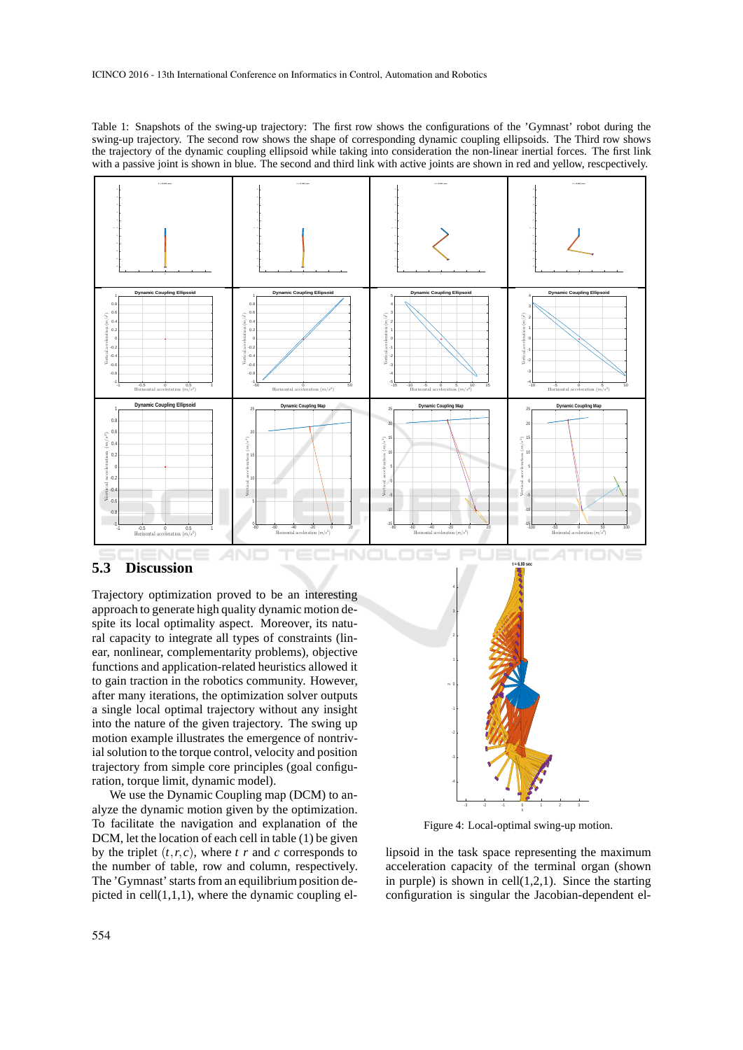Table 1: Snapshots of the swing-up trajectory: The first row shows the configurations of the 'Gymnast' robot during the swing-up trajectory. The second row shows the shape of corresponding dynamic coupling ellipsoids. The Third row shows the trajectory of the dynamic coupling ellipsoid while taking into consideration the non-linear inertial forces. The first link with a passive joint is shown in blue. The second and third link with active joints are shown in red and yellow, rescpectively.



### **5.3 Discussion**

Trajectory optimization proved to be an interesting approach to generate high quality dynamic motion despite its local optimality aspect. Moreover, its natural capacity to integrate all types of constraints (linear, nonlinear, complementarity problems), objective functions and application-related heuristics allowed it to gain traction in the robotics community. However, after many iterations, the optimization solver outputs a single local optimal trajectory without any insight into the nature of the given trajectory. The swing up motion example illustrates the emergence of nontrivial solution to the torque control, velocity and position trajectory from simple core principles (goal configuration, torque limit, dynamic model).

We use the Dynamic Coupling map (DCM) to analyze the dynamic motion given by the optimization. To facilitate the navigation and explanation of the DCM, let the location of each cell in table (1) be given by the triplet  $(t, r, c)$ , where  $t \, r$  and  $c$  corresponds to the number of table, row and column, respectively. The 'Gymnast' starts from an equilibrium position depicted in cell $(1,1,1)$ , where the dynamic coupling el-



Figure 4: Local-optimal swing-up motion.

lipsoid in the task space representing the maximum acceleration capacity of the terminal organ (shown in purple) is shown in cell $(1,2,1)$ . Since the starting configuration is singular the Jacobian-dependent el-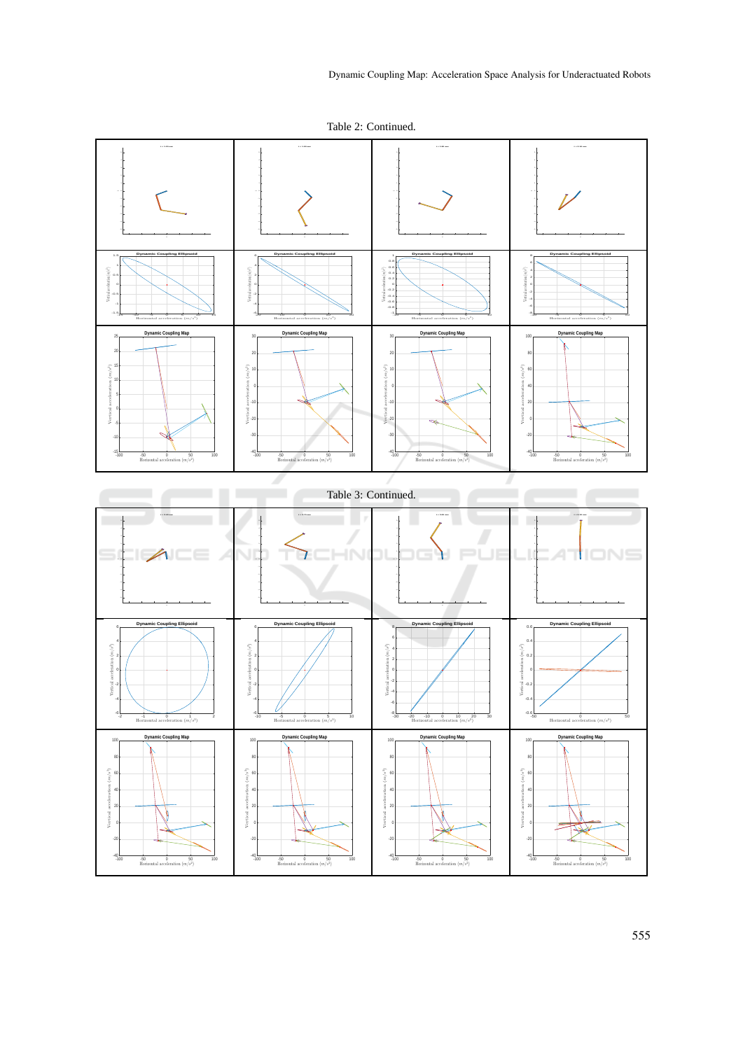Table 2: Continued.

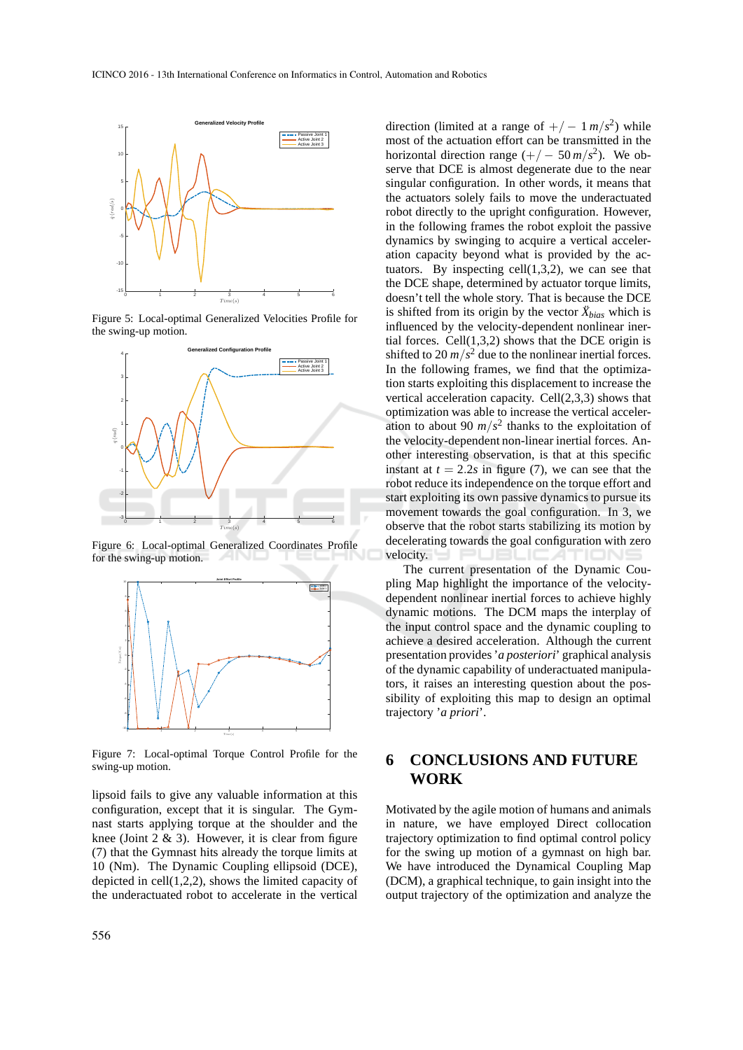

Figure 5: Local-optimal Generalized Velocities Profile for the swing-up motion.



Figure 6: Local-optimal Generalized Coordinates Profile for the swing-up motion.



Figure 7: Local-optimal Torque Control Profile for the swing-up motion.

lipsoid fails to give any valuable information at this configuration, except that it is singular. The Gymnast starts applying torque at the shoulder and the knee (Joint  $2 \& 3$ ). However, it is clear from figure (7) that the Gymnast hits already the torque limits at 10 (Nm). The Dynamic Coupling ellipsoid (DCE), depicted in cell(1,2,2), shows the limited capacity of the underactuated robot to accelerate in the vertical

direction (limited at a range of  $+/- 1 \frac{m}{s^2}$ ) while most of the actuation effort can be transmitted in the horizontal direction range  $(+/-50 \frac{m}{s^2})$ . We observe that DCE is almost degenerate due to the near singular configuration. In other words, it means that the actuators solely fails to move the underactuated robot directly to the upright configuration. However, in the following frames the robot exploit the passive dynamics by swinging to acquire a vertical acceleration capacity beyond what is provided by the actuators. By inspecting cell(1,3,2), we can see that the DCE shape, determined by actuator torque limits, doesn't tell the whole story. That is because the DCE is shifted from its origin by the vector  $\ddot{X}_{bias}$  which is influenced by the velocity-dependent nonlinear inertial forces. Cell $(1,3,2)$  shows that the DCE origin is shifted to 20  $m/s^2$  due to the nonlinear inertial forces. In the following frames, we find that the optimization starts exploiting this displacement to increase the vertical acceleration capacity. Cell(2,3,3) shows that optimization was able to increase the vertical acceleration to about 90  $m/s^2$  thanks to the exploitation of the velocity-dependent non-linear inertial forces. Another interesting observation, is that at this specific instant at  $t = 2.2s$  in figure (7), we can see that the robot reduce its independence on the torque effort and start exploiting its own passive dynamics to pursue its movement towards the goal configuration. In 3, we observe that the robot starts stabilizing its motion by decelerating towards the goal configuration with zero velocity.

The current presentation of the Dynamic Coupling Map highlight the importance of the velocitydependent nonlinear inertial forces to achieve highly dynamic motions. The DCM maps the interplay of the input control space and the dynamic coupling to achieve a desired acceleration. Although the current presentation provides '*a posteriori*' graphical analysis of the dynamic capability of underactuated manipulators, it raises an interesting question about the possibility of exploiting this map to design an optimal trajectory '*a priori*'.

## **6 CONCLUSIONS AND FUTURE WORK**

Motivated by the agile motion of humans and animals in nature, we have employed Direct collocation trajectory optimization to find optimal control policy for the swing up motion of a gymnast on high bar. We have introduced the Dynamical Coupling Map (DCM), a graphical technique, to gain insight into the output trajectory of the optimization and analyze the